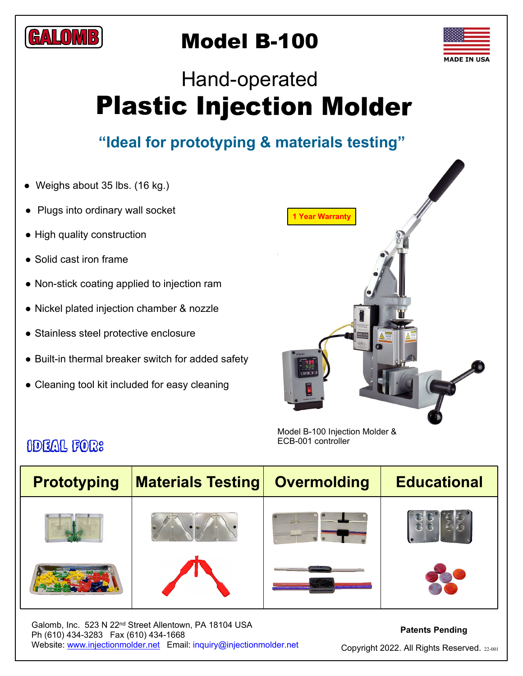

## Model B-100



# Plastic Injection Molder Hand-operated

### **"Ideal for prototyping & materials testing"**

- Weighs about 35 lbs. (16 kg.)
- Plugs into ordinary wall socket
- High quality construction
- Solid cast iron frame
- Non-stick coating applied to injection ram
- Nickel plated injection chamber & nozzle
- Stainless steel protective enclosure
- Built-in thermal breaker switch for added safety
- Cleaning tool kit included for easy cleaning



Model B-100 Injection Molder & ECB-001 controller

| <b>Prototyping</b> | <b>Materials Testing</b> | <b>Overmolding</b> | <b>Educational</b> |
|--------------------|--------------------------|--------------------|--------------------|
|                    |                          |                    |                    |
|                    |                          |                    |                    |

Galomb, Inc. 523 N 22nd Street Allentown, PA 18104 USA Ph (610) 434-3283 Fax (610) 434-1668 Website: www.injectionmolder.net Email: inquiry@injectionmolder.net

#### **Patents Pending**

Copyright 2022. All Rights Reserved. 22-001

### Ideal for: